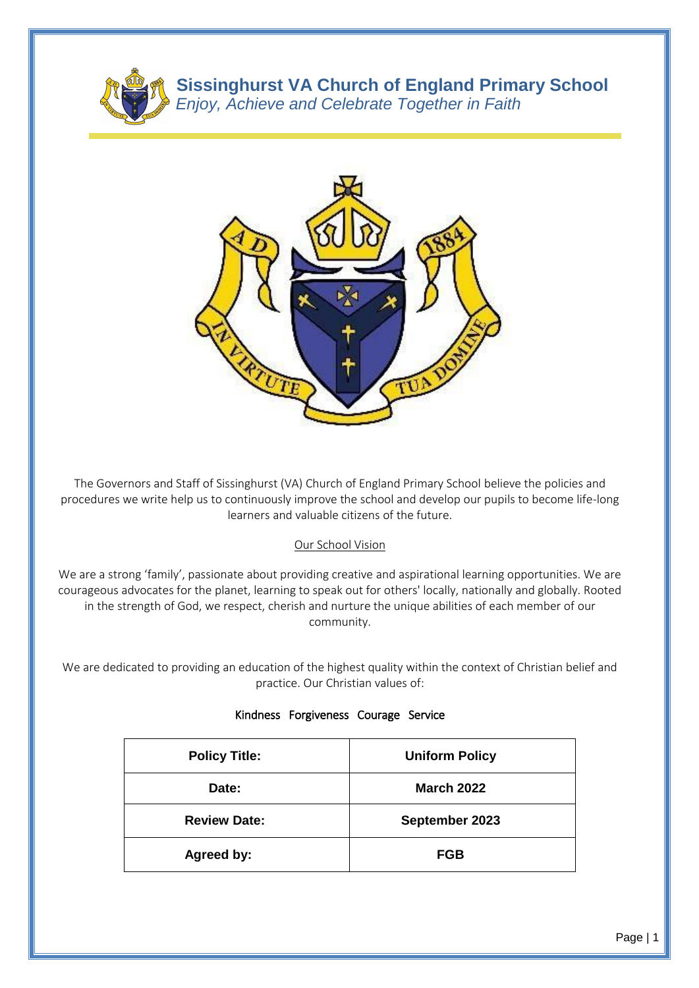

**Sissinghurst VA Church of England Primary School** *Enjoy, Achieve and Celebrate Together in Faith*



The Governors and Staff of Sissinghurst (VA) Church of England Primary School believe the policies and procedures we write help us to continuously improve the school and develop our pupils to become life-long learners and valuable citizens of the future.

# Our School Vision

We are a strong 'family', passionate about providing creative and aspirational learning opportunities. We are courageous advocates for the planet, learning to speak out for others' locally, nationally and globally. Rooted in the strength of God, we respect, cherish and nurture the unique abilities of each member of our community.

We are dedicated to providing an education of the highest quality within the context of Christian belief and practice. Our Christian values of:

| <b>Policy Title:</b> | <b>Uniform Policy</b> |
|----------------------|-----------------------|
| Date:                | <b>March 2022</b>     |
| <b>Review Date:</b>  | September 2023        |
| <b>Agreed by:</b>    | <b>FGB</b>            |

#### Kindness Forgiveness Courage Service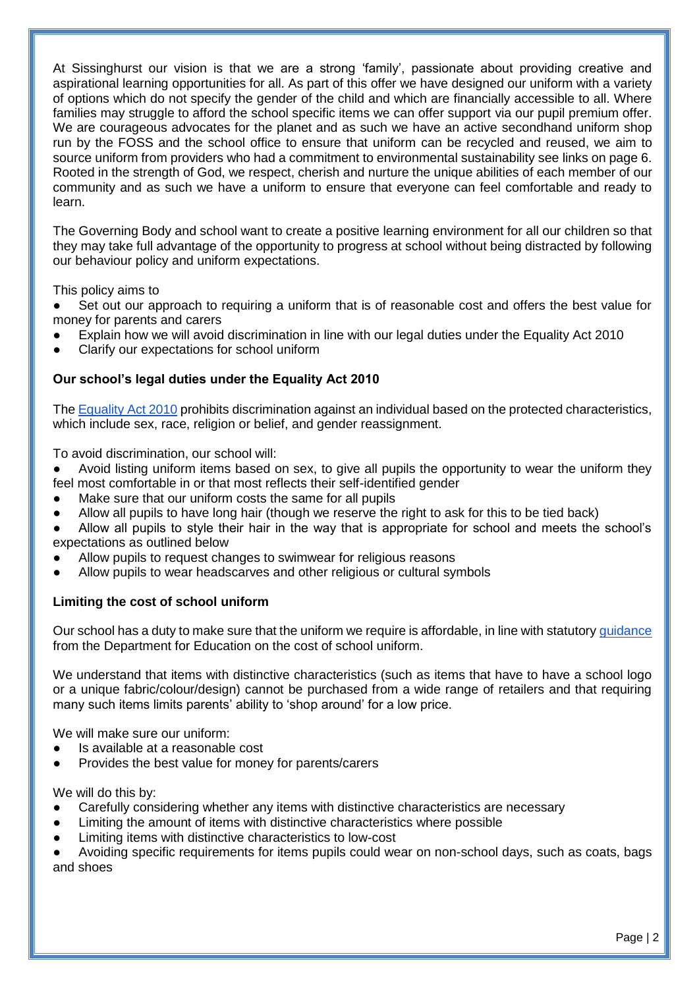At Sissinghurst our vision is that we are a strong 'family', passionate about providing creative and aspirational learning opportunities for all. As part of this offer we have designed our uniform with a variety of options which do not specify the gender of the child and which are financially accessible to all. Where families may struggle to afford the school specific items we can offer support via our pupil premium offer. We are courageous advocates for the planet and as such we have an active secondhand uniform shop run by the FOSS and the school office to ensure that uniform can be recycled and reused, we aim to source uniform from providers who had a commitment to environmental sustainability see links on page 6. Rooted in the strength of God, we respect, cherish and nurture the unique abilities of each member of our community and as such we have a uniform to ensure that everyone can feel comfortable and ready to learn.

The Governing Body and school want to create a positive learning environment for all our children so that they may take full advantage of the opportunity to progress at school without being distracted by following our behaviour policy and uniform expectations.

This policy aims to

• Set out our approach to requiring a uniform that is of reasonable cost and offers the best value for money for parents and carers

- Explain how we will avoid discrimination in line with our legal duties under the Equality Act 2010
- Clarify our expectations for school uniform

# **Our school's legal duties under the Equality Act 2010**

The [Equality Act 2010](https://www.legislation.gov.uk/ukpga/2010/15/contents) prohibits discrimination against an individual based on the protected characteristics, which include sex, race, religion or belief, and gender reassignment.

To avoid discrimination, our school will:

• Avoid listing uniform items based on sex, to give all pupils the opportunity to wear the uniform they feel most comfortable in or that most reflects their self-identified gender

- Make sure that our uniform costs the same for all pupils
- Allow all pupils to have long hair (though we reserve the right to ask for this to be tied back)
- Allow all pupils to style their hair in the way that is appropriate for school and meets the school's expectations as outlined below
- Allow pupils to request changes to swimwear for religious reasons
- Allow pupils to wear headscarves and other religious or cultural symbols

## **Limiting the cost of school uniform**

Our school has a duty to make sure that the uniform we require is affordable, in line with statutory [guidance](https://www.gov.uk/government/publications/cost-of-school-uniforms/cost-of-school-uniforms) from the Department for Education on the cost of school uniform.

We understand that items with distinctive characteristics (such as items that have to have a school logo or a unique fabric/colour/design) cannot be purchased from a wide range of retailers and that requiring many such items limits parents' ability to 'shop around' for a low price.

We will make sure our uniform:

- Is available at a reasonable cost
- Provides the best value for money for parents/carers

We will do this by:

- Carefully considering whether any items with distinctive characteristics are necessary
- Limiting the amount of items with distinctive characteristics where possible
- Limiting items with distinctive characteristics to low-cost

Avoiding specific requirements for items pupils could wear on non-school days, such as coats, bags and shoes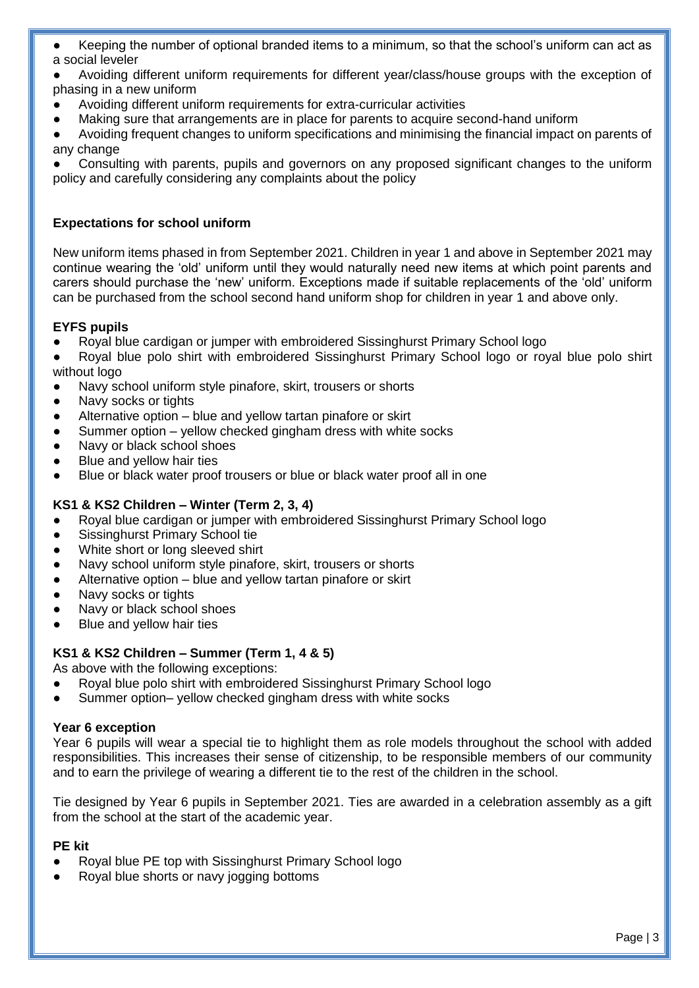- Keeping the number of optional branded items to a minimum, so that the school's uniform can act as a social leveler
- Avoiding different uniform requirements for different year/class/house groups with the exception of phasing in a new uniform
- Avoiding different uniform requirements for extra-curricular activities
- Making sure that arrangements are in place for parents to acquire second-hand uniform
- Avoiding frequent changes to uniform specifications and minimising the financial impact on parents of any change

Consulting with parents, pupils and governors on any proposed significant changes to the uniform policy and carefully considering any complaints about the policy

# **Expectations for school uniform**

New uniform items phased in from September 2021. Children in year 1 and above in September 2021 may continue wearing the 'old' uniform until they would naturally need new items at which point parents and carers should purchase the 'new' uniform. Exceptions made if suitable replacements of the 'old' uniform can be purchased from the school second hand uniform shop for children in year 1 and above only.

# **EYFS pupils**

- Royal blue cardigan or jumper with embroidered Sissinghurst Primary School logo
- Royal blue polo shirt with embroidered Sissinghurst Primary School logo or royal blue polo shirt without logo
- Navy school uniform style pinafore, skirt, trousers or shorts
- Navy socks or tights
- Alternative option blue and yellow tartan pinafore or skirt
- Summer option yellow checked gingham dress with white socks
- Navy or black school shoes
- Blue and yellow hair ties
- Blue or black water proof trousers or blue or black water proof all in one

## **KS1 & KS2 Children – Winter (Term 2, 3, 4)**

- Royal blue cardigan or jumper with embroidered Sissinghurst Primary School logo
- Sissinghurst Primary School tie
- White short or long sleeved shirt
- Navy school uniform style pinafore, skirt, trousers or shorts
- Alternative option blue and yellow tartan pinafore or skirt
- Navy socks or tights
- Navy or black school shoes
- Blue and yellow hair ties

## **KS1 & KS2 Children – Summer (Term 1, 4 & 5)**

As above with the following exceptions:

- Royal blue polo shirt with embroidered Sissinghurst Primary School logo
- Summer option– yellow checked gingham dress with white socks

## **Year 6 exception**

Year 6 pupils will wear a special tie to highlight them as role models throughout the school with added responsibilities. This increases their sense of citizenship, to be responsible members of our community and to earn the privilege of wearing a different tie to the rest of the children in the school.

Tie designed by Year 6 pupils in September 2021. Ties are awarded in a celebration assembly as a gift from the school at the start of the academic year.

#### **PE kit**

- Royal blue PE top with Sissinghurst Primary School logo
- Royal blue shorts or navy jogging bottoms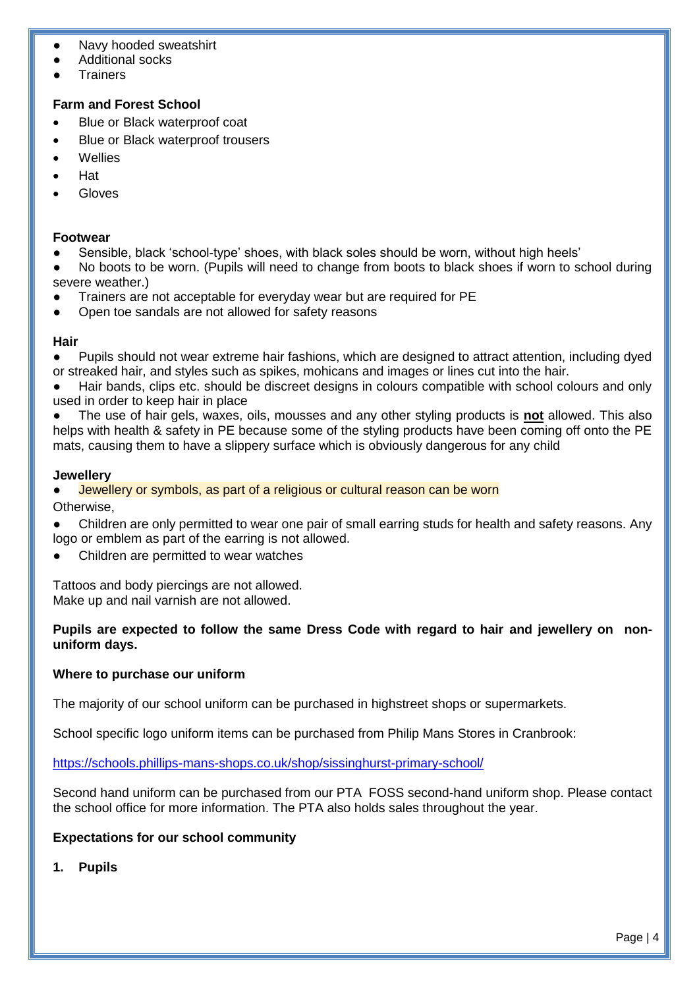- Navy hooded sweatshirt
- Additional socks
- **Trainers**

# **Farm and Forest School**

- Blue or Black waterproof coat
- Blue or Black waterproof trousers
- Wellies
- Hat
- Gloves

## **Footwear**

- Sensible, black 'school-type' shoes, with black soles should be worn, without high heels'
- No boots to be worn. (Pupils will need to change from boots to black shoes if worn to school during severe weather.)
- Trainers are not acceptable for everyday wear but are required for PE
- Open toe sandals are not allowed for safety reasons

## **Hair**

Pupils should not wear extreme hair fashions, which are designed to attract attention, including dyed or streaked hair, and styles such as spikes, mohicans and images or lines cut into the hair.

Hair bands, clips etc. should be discreet designs in colours compatible with school colours and only used in order to keep hair in place

● The use of hair gels, waxes, oils, mousses and any other styling products is **not** allowed. This also helps with health & safety in PE because some of the styling products have been coming off onto the PE mats, causing them to have a slippery surface which is obviously dangerous for any child

## **Jewellery**

Jewellery or symbols, as part of a religious or cultural reason can be worn Otherwise,

- Children are only permitted to wear one pair of small earring studs for health and safety reasons. Any logo or emblem as part of the earring is not allowed.
- Children are permitted to wear watches

Tattoos and body piercings are not allowed. Make up and nail varnish are not allowed.

## **Pupils are expected to follow the same Dress Code with regard to hair and jewellery on nonuniform days.**

## **Where to purchase our uniform**

The majority of our school uniform can be purchased in highstreet shops or supermarkets.

School specific logo uniform items can be purchased from Philip Mans Stores in Cranbrook:

<https://schools.phillips-mans-shops.co.uk/shop/sissinghurst-primary-school/>

Second hand uniform can be purchased from our PTA FOSS second-hand uniform shop. Please contact the school office for more information. The PTA also holds sales throughout the year.

## **Expectations for our school community**

**1. Pupils**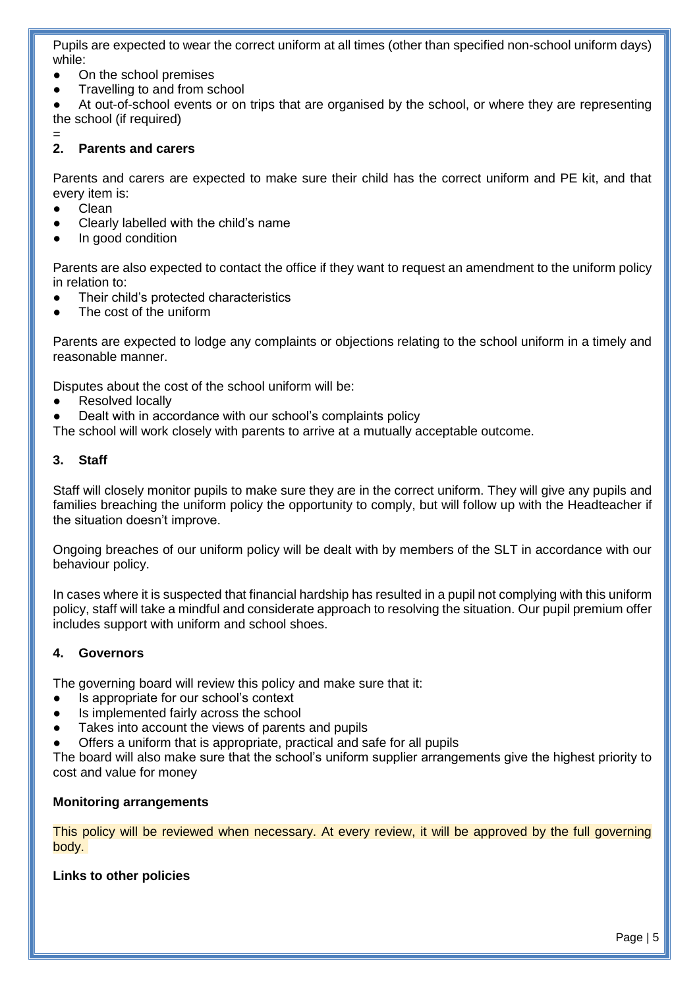Pupils are expected to wear the correct uniform at all times (other than specified non-school uniform days) while:

- On the school premises
- Travelling to and from school

At out-of-school events or on trips that are organised by the school, or where they are representing the school (if required)

#### $=$ <br>2. **2. Parents and carers**

Parents and carers are expected to make sure their child has the correct uniform and PE kit, and that every item is:

- **Clean**
- Clearly labelled with the child's name
- In good condition

Parents are also expected to contact the office if they want to request an amendment to the uniform policy in relation to:

- Their child's protected characteristics
- The cost of the uniform

Parents are expected to lodge any complaints or objections relating to the school uniform in a timely and reasonable manner.

Disputes about the cost of the school uniform will be:

- Resolved locally
- Dealt with in accordance with our school's complaints policy

The school will work closely with parents to arrive at a mutually acceptable outcome.

## **3. Staff**

Staff will closely monitor pupils to make sure they are in the correct uniform. They will give any pupils and families breaching the uniform policy the opportunity to comply, but will follow up with the Headteacher if the situation doesn't improve.

Ongoing breaches of our uniform policy will be dealt with by members of the SLT in accordance with our behaviour policy.

In cases where it is suspected that financial hardship has resulted in a pupil not complying with this uniform policy, staff will take a mindful and considerate approach to resolving the situation. Our pupil premium offer includes support with uniform and school shoes.

## **4. Governors**

The governing board will review this policy and make sure that it:

- Is appropriate for our school's context
- Is implemented fairly across the school
- Takes into account the views of parents and pupils
- Offers a uniform that is appropriate, practical and safe for all pupils

The board will also make sure that the school's uniform supplier arrangements give the highest priority to cost and value for money

#### **Monitoring arrangements**

This policy will be reviewed when necessary. At every review, it will be approved by the full governing body.

## **Links to other policies**